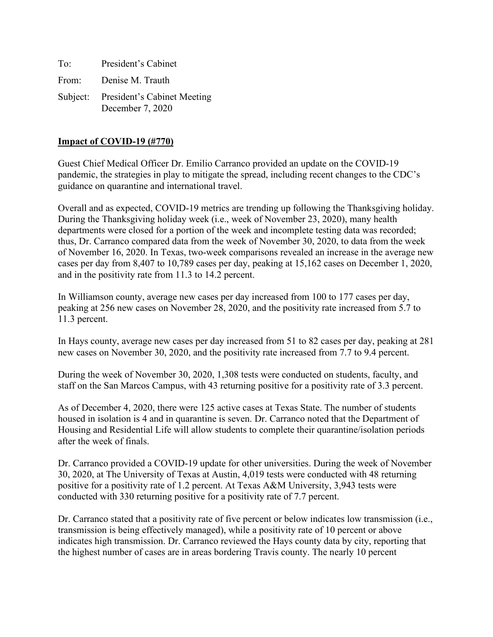To: President's Cabinet From: Denise M. Trauth Subject: President's Cabinet Meeting December 7, 2020

### **Impact of COVID-19 (#770)**

Guest Chief Medical Officer Dr. Emilio Carranco provided an update on the COVID-19 pandemic, the strategies in play to mitigate the spread, including recent changes to the CDC's guidance on quarantine and international travel.

Overall and as expected, COVID-19 metrics are trending up following the Thanksgiving holiday. During the Thanksgiving holiday week (i.e., week of November 23, 2020), many health departments were closed for a portion of the week and incomplete testing data was recorded; thus, Dr. Carranco compared data from the week of November 30, 2020, to data from the week of November 16, 2020. In Texas, two-week comparisons revealed an increase in the average new cases per day from 8,407 to 10,789 cases per day, peaking at 15,162 cases on December 1, 2020, and in the positivity rate from 11.3 to 14.2 percent.

In Williamson county, average new cases per day increased from 100 to 177 cases per day, peaking at 256 new cases on November 28, 2020, and the positivity rate increased from 5.7 to 11.3 percent.

In Hays county, average new cases per day increased from 51 to 82 cases per day, peaking at 281 new cases on November 30, 2020, and the positivity rate increased from 7.7 to 9.4 percent.

During the week of November 30, 2020, 1,308 tests were conducted on students, faculty, and staff on the San Marcos Campus, with 43 returning positive for a positivity rate of 3.3 percent.

As of December 4, 2020, there were 125 active cases at Texas State. The number of students housed in isolation is 4 and in quarantine is seven. Dr. Carranco noted that the Department of Housing and Residential Life will allow students to complete their quarantine/isolation periods after the week of finals.

Dr. Carranco provided a COVID-19 update for other universities. During the week of November 30, 2020, at The University of Texas at Austin, 4,019 tests were conducted with 48 returning positive for a positivity rate of 1.2 percent. At Texas A&M University, 3,943 tests were conducted with 330 returning positive for a positivity rate of 7.7 percent.

Dr. Carranco stated that a positivity rate of five percent or below indicates low transmission (i.e., transmission is being effectively managed), while a positivity rate of 10 percent or above indicates high transmission. Dr. Carranco reviewed the Hays county data by city, reporting that the highest number of cases are in areas bordering Travis county. The nearly 10 percent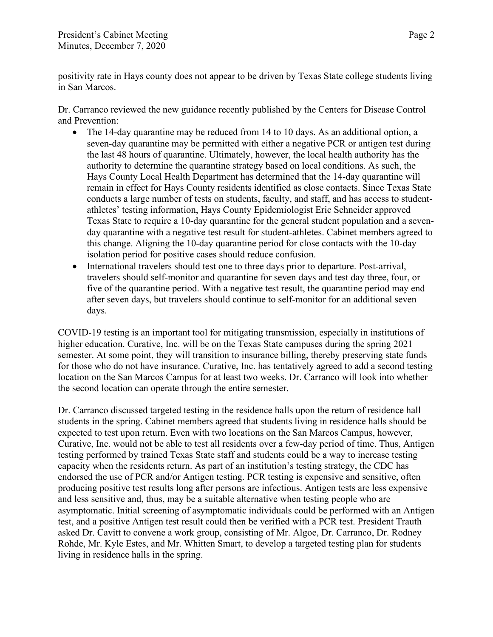positivity rate in Hays county does not appear to be driven by Texas State college students living in San Marcos.

Dr. Carranco reviewed the new guidance recently published by the Centers for Disease Control and Prevention:

- The 14-day quarantine may be reduced from 14 to 10 days. As an additional option, a seven-day quarantine may be permitted with either a negative PCR or antigen test during the last 48 hours of quarantine. Ultimately, however, the local health authority has the authority to determine the quarantine strategy based on local conditions. As such, the Hays County Local Health Department has determined that the 14-day quarantine will remain in effect for Hays County residents identified as close contacts. Since Texas State conducts a large number of tests on students, faculty, and staff, and has access to studentathletes' testing information, Hays County Epidemiologist Eric Schneider approved Texas State to require a 10-day quarantine for the general student population and a sevenday quarantine with a negative test result for student-athletes. Cabinet members agreed to this change. Aligning the 10-day quarantine period for close contacts with the 10-day isolation period for positive cases should reduce confusion.
- International travelers should test one to three days prior to departure. Post-arrival, travelers should self-monitor and quarantine for seven days and test day three, four, or five of the quarantine period. With a negative test result, the quarantine period may end after seven days, but travelers should continue to self-monitor for an additional seven days.

COVID-19 testing is an important tool for mitigating transmission, especially in institutions of higher education. Curative, Inc. will be on the Texas State campuses during the spring 2021 semester. At some point, they will transition to insurance billing, thereby preserving state funds for those who do not have insurance. Curative, Inc. has tentatively agreed to add a second testing location on the San Marcos Campus for at least two weeks. Dr. Carranco will look into whether the second location can operate through the entire semester.

Dr. Carranco discussed targeted testing in the residence halls upon the return of residence hall students in the spring. Cabinet members agreed that students living in residence halls should be expected to test upon return. Even with two locations on the San Marcos Campus, however, Curative, Inc. would not be able to test all residents over a few-day period of time. Thus, Antigen testing performed by trained Texas State staff and students could be a way to increase testing capacity when the residents return. As part of an institution's testing strategy, the CDC has endorsed the use of PCR and/or Antigen testing. PCR testing is expensive and sensitive, often producing positive test results long after persons are infectious. Antigen tests are less expensive and less sensitive and, thus, may be a suitable alternative when testing people who are asymptomatic. Initial screening of asymptomatic individuals could be performed with an Antigen test, and a positive Antigen test result could then be verified with a PCR test. President Trauth asked Dr. Cavitt to convene a work group, consisting of Mr. Algoe, Dr. Carranco, Dr. Rodney Rohde, Mr. Kyle Estes, and Mr. Whitten Smart, to develop a targeted testing plan for students living in residence halls in the spring.